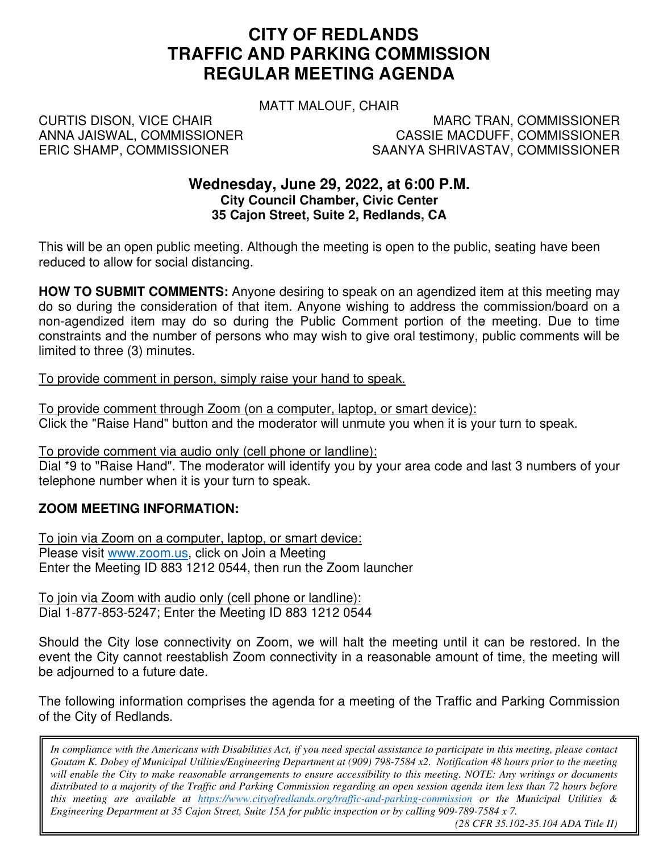# **CITY OF REDLANDS TRAFFIC AND PARKING COMMISSION REGULAR MEETING AGENDA**

MATT MALOUF, CHAIR

CURTIS DISON, VICE CHAIR ANNA JAISWAL, COMMISSIONER ERIC SHAMP, COMMISSIONER

MARC TRAN, COMMISSIONER CASSIE MACDUFF, COMMISSIONER SAANYA SHRIVASTAV, COMMISSIONER

# **Wednesday, June 29, 2022, at 6:00 P.M. City Council Chamber, Civic Center 35 Cajon Street, Suite 2, Redlands, CA**

This will be an open public meeting. Although the meeting is open to the public, seating have been reduced to allow for social distancing.

**HOW TO SUBMIT COMMENTS:** Anyone desiring to speak on an agendized item at this meeting may do so during the consideration of that item. Anyone wishing to address the commission/board on a non-agendized item may do so during the Public Comment portion of the meeting. Due to time constraints and the number of persons who may wish to give oral testimony, public comments will be limited to three (3) minutes.

To provide comment in person, simply raise your hand to speak.

To provide comment through Zoom (on a computer, laptop, or smart device): Click the "Raise Hand" button and the moderator will unmute you when it is your turn to speak.

To provide comment via audio only (cell phone or landline):

Dial \*9 to "Raise Hand". The moderator will identify you by your area code and last 3 numbers of your telephone number when it is your turn to speak.

# **ZOOM MEETING INFORMATION:**

To join via Zoom on a computer, laptop, or smart device: Please visit www.zoom.us, click on Join a Meeting Enter the Meeting ID 883 1212 0544, then run the Zoom launcher

To join via Zoom with audio only (cell phone or landline): Dial 1-877-853-5247; Enter the Meeting ID 883 1212 0544

Should the City lose connectivity on Zoom, we will halt the meeting until it can be restored. In the event the City cannot reestablish Zoom connectivity in a reasonable amount of time, the meeting will be adjourned to a future date.

The following information comprises the agenda for a meeting of the Traffic and Parking Commission of the City of Redlands.

 *will enable the City to make reasonable arrangements to ensure accessibility to this meeting. NOTE: Any writings or documents In compliance with the Americans with Disabilities Act, if you need special assistance to participate in this meeting, please contact Goutam K. Dobey of Municipal Utilities/Engineering Department at (909) 798-7584 x2. Notification 48 hours prior to the meeting distributed to a majority of the Traffic and Parking Commission regarding an open session agenda item less than 72 hours before this meeting are available at https://www.cityofredlands.org/traffic-and-parking-commission or the Municipal Utilities & Engineering Department at 35 Cajon Street, Suite 15A for public inspection or by calling 909-789-7584 x 7.* 

*(28 CFR 35.102-35.104 ADA Title II)*